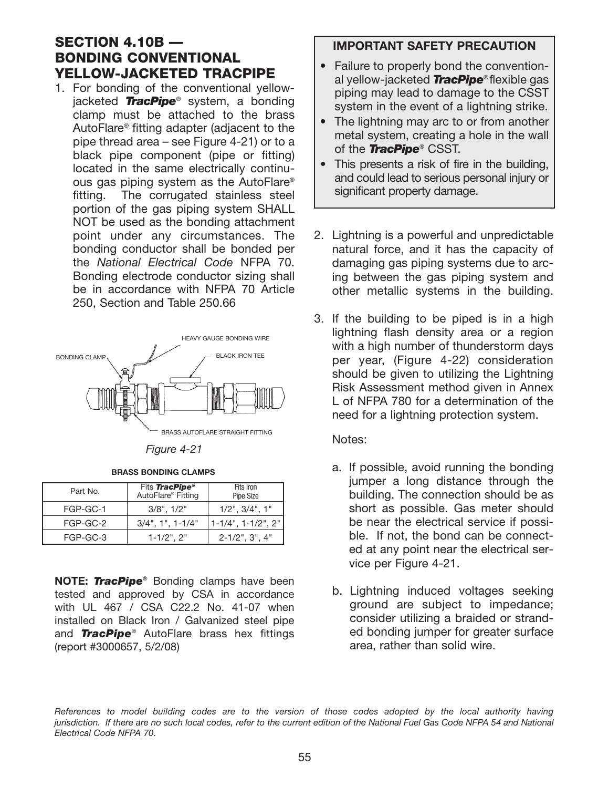## SECTION 4.10B — BONDING CONVENTIONAL YELLOW-JACKETED TRACPIPE

1. For bonding of the conventional yellowjacketed *TracPipe*® system, a bonding clamp must be attached to the brass AutoFlare® fitting adapter (adjacent to the pipe thread area – see Figure 4-21) or to a black pipe component (pipe or fitting) located in the same electrically continuous gas piping system as the AutoFlare® fitting. The corrugated stainless steel portion of the gas piping system SHALL NOT be used as the bonding attachment point under any circumstances. The bonding conductor shall be bonded per the *National Electrical Code* NFPA 70. Bonding electrode conductor sizing shall be in accordance with NFPA 70 Article 250, Section and Table 250.66



**BRASS BONDING CLAMPS**

*Figure 4-21*

| Part No. | Fits TracPipe <sup>®</sup><br>AutoFlare <sup>®</sup> Fitting | Fits Iron<br>Pipe Size          |
|----------|--------------------------------------------------------------|---------------------------------|
| FGP-GC-1 | $3/8$ ", $1/2$ "                                             | $1/2$ ", $3/4$ ", $1$ "         |
| FGP-GC-2 | $3/4$ ", 1", 1-1/4"                                          | $1 - 1/4$ ", $1 - 1/2$ ", $2$ " |
| FGP-GC-3 | $1 - 1/2$ ", $2$ "                                           | $2 - 1/2$ ", $3$ ", $4$ "       |

**NOTE:** *TracPipe*® Bonding clamps have been tested and approved by CSA in accordance with UL 467 / CSA C22.2 No. 41-07 when installed on Black Iron / Galvanized steel pipe and *TracPipe*® AutoFlare brass hex fittings (report #3000657, 5/2/08)

## **IMPORTANT SAFETY PRECAUTION**

- Failure to properly bond the conventional yellow-jacketed *TracPipe*® flexible gas piping may lead to damage to the CSST system in the event of a lightning strike.
- The lightning may arc to or from another metal system, creating a hole in the wall of the *TracPipe*® CSST.
- This presents a risk of fire in the building, and could lead to serious personal injury or significant property damage.
- 2. Lightning is a powerful and unpredictable natural force, and it has the capacity of damaging gas piping systems due to arcing between the gas piping system and other metallic systems in the building.
- 3. If the building to be piped is in a high lightning flash density area or a region with a high number of thunderstorm days per year, (Figure 4-22) consideration should be given to utilizing the Lightning Risk Assessment method given in Annex L of NFPA 780 for a determination of the need for a lightning protection system.

Notes:

- a. If possible, avoid running the bonding jumper a long distance through the building. The connection should be as short as possible. Gas meter should be near the electrical service if possible. If not, the bond can be connected at any point near the electrical service per Figure 4-21.
- b. Lightning induced voltages seeking ground are subject to impedance; consider utilizing a braided or stranded bonding jumper for greater surface area, rather than solid wire.

*References to model building codes are to the version of those codes adopted by the local authority having jurisdiction. If there are no such local codes, refer to the current edition of the National Fuel Gas Code NFPA 54 and National Electrical Code NFPA 70*.